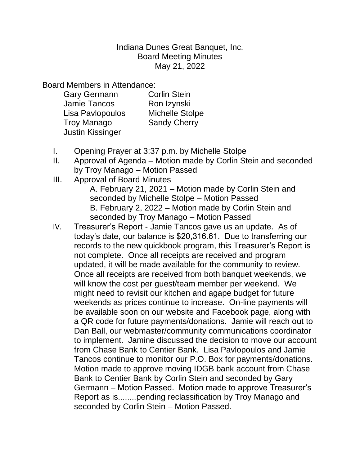Indiana Dunes Great Banquet, Inc. Board Meeting Minutes May 21, 2022

Board Members in Attendance:

| <b>Gary Germann</b>     | <b>Corlin Stein</b>    |
|-------------------------|------------------------|
| <b>Jamie Tancos</b>     | Ron Izynski            |
| Lisa Pavlopoulos        | <b>Michelle Stolpe</b> |
| <b>Troy Manago</b>      | <b>Sandy Cherry</b>    |
| <b>Justin Kissinger</b> |                        |

- I. Opening Prayer at 3:37 p.m. by Michelle Stolpe
- II. Approval of Agenda Motion made by Corlin Stein and seconded by Troy Manago – Motion Passed
- III. Approval of Board Minutes

A. February 21, 2021 – Motion made by Corlin Stein and seconded by Michelle Stolpe – Motion Passed B. February 2, 2022 – Motion made by Corlin Stein and seconded by Troy Manago – Motion Passed

IV. Treasurer's Report - Jamie Tancos gave us an update. As of today's date, our balance is \$20,316.61. Due to transferring our records to the new quickbook program, this Treasurer's Report is not complete. Once all receipts are received and program updated, it will be made available for the community to review. Once all receipts are received from both banquet weekends, we will know the cost per guest/team member per weekend. We might need to revisit our kitchen and agape budget for future weekends as prices continue to increase. On-line payments will be available soon on our website and Facebook page, along with a QR code for future payments/donations. Jamie will reach out to Dan Ball, our webmaster/community communications coordinator to implement. Jamine discussed the decision to move our account from Chase Bank to Centier Bank. Lisa Pavlopoulos and Jamie Tancos continue to monitor our P.O. Box for payments/donations. Motion made to approve moving IDGB bank account from Chase Bank to Centier Bank by Corlin Stein and seconded by Gary Germann – Motion Passed. Motion made to approve Treasurer's Report as is........pending reclassification by Troy Manago and seconded by Corlin Stein – Motion Passed.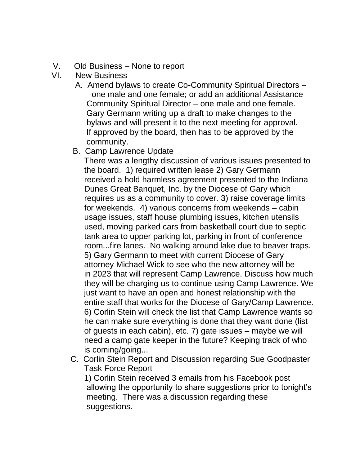- V. Old Business None to report
- VI. New Business
	- A. Amend bylaws to create Co-Community Spiritual Directors one male and one female; or add an additional Assistance Community Spiritual Director – one male and one female. Gary Germann writing up a draft to make changes to the bylaws and will present it to the next meeting for approval. If approved by the board, then has to be approved by the community.
	- B. Camp Lawrence Update

 There was a lengthy discussion of various issues presented to the board. 1) required written lease 2) Gary Germann received a hold harmless agreement presented to the Indiana Dunes Great Banquet, Inc. by the Diocese of Gary which requires us as a community to cover. 3) raise coverage limits for weekends. 4) various concerns from weekends – cabin usage issues, staff house plumbing issues, kitchen utensils used, moving parked cars from basketball court due to septic tank area to upper parking lot, parking in front of conference room...fire lanes. No walking around lake due to beaver traps. 5) Gary Germann to meet with current Diocese of Gary attorney Michael Wick to see who the new attorney will be in 2023 that will represent Camp Lawrence. Discuss how much they will be charging us to continue using Camp Lawrence. We just want to have an open and honest relationship with the entire staff that works for the Diocese of Gary/Camp Lawrence. 6) Corlin Stein will check the list that Camp Lawrence wants so he can make sure everything is done that they want done (list of guests in each cabin), etc. 7) gate issues – maybe we will need a camp gate keeper in the future? Keeping track of who is coming/going...

 C. Corlin Stein Report and Discussion regarding Sue Goodpaster Task Force Report

 1) Corlin Stein received 3 emails from his Facebook post allowing the opportunity to share suggestions prior to tonight's meeting. There was a discussion regarding these suggestions.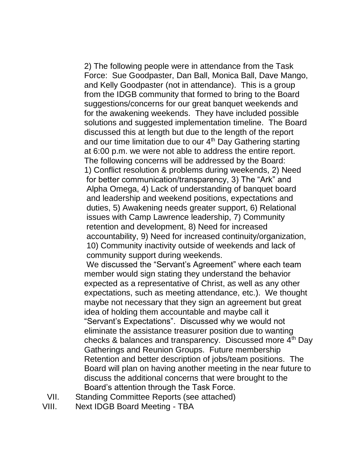2) The following people were in attendance from the Task Force: Sue Goodpaster, Dan Ball, Monica Ball, Dave Mango, and Kelly Goodpaster (not in attendance). This is a group from the IDGB community that formed to bring to the Board suggestions/concerns for our great banquet weekends and for the awakening weekends. They have included possible solutions and suggested implementation timeline. The Board discussed this at length but due to the length of the report and our time limitation due to our  $4<sup>th</sup>$  Day Gathering starting at 6:00 p.m. we were not able to address the entire report. The following concerns will be addressed by the Board: 1) Conflict resolution & problems during weekends, 2) Need for better communication/transparency, 3) The "Ark" and Alpha Omega, 4) Lack of understanding of banquet board and leadership and weekend positions, expectations and duties, 5) Awakening needs greater support, 6) Relational issues with Camp Lawrence leadership, 7) Community retention and development, 8) Need for increased accountability, 9) Need for increased continuity/organization, 10) Community inactivity outside of weekends and lack of community support during weekends.

 We discussed the "Servant's Agreement" where each team member would sign stating they understand the behavior expected as a representative of Christ, as well as any other expectations, such as meeting attendance, etc.). We thought maybe not necessary that they sign an agreement but great idea of holding them accountable and maybe call it "Servant's Expectations". Discussed why we would not eliminate the assistance treasurer position due to wanting checks & balances and transparency. Discussed more 4<sup>th</sup> Day Gatherings and Reunion Groups. Future membership Retention and better description of jobs/team positions. The Board will plan on having another meeting in the near future to discuss the additional concerns that were brought to the Board's attention through the Task Force.

- VII. Standing Committee Reports (see attached)
- VIII. Next IDGB Board Meeting TBA